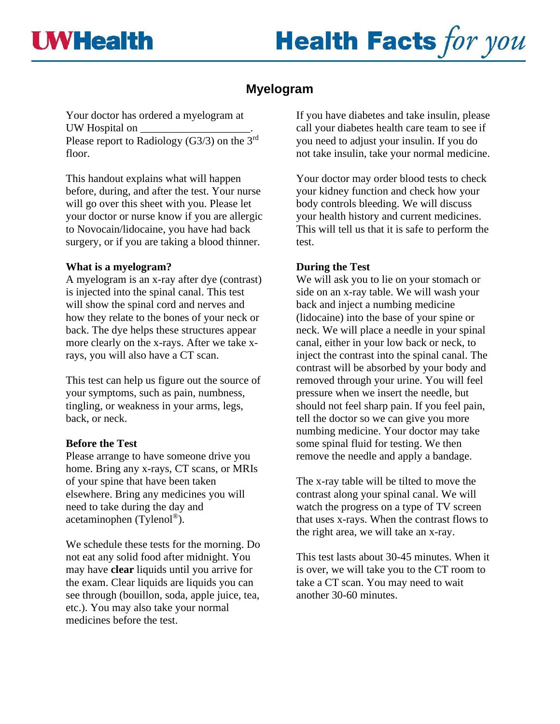# **Health Facts for you**

# **Myelogram**

Your doctor has ordered a myelogram at UW Hospital on \_\_\_\_\_\_\_\_\_\_\_\_\_\_\_\_\_\_\_\_. Please report to Radiology (G3/3) on the 3<sup>rd</sup> floor.

This handout explains what will happen before, during, and after the test. Your nurse will go over this sheet with you. Please let your doctor or nurse know if you are allergic to Novocain/lidocaine, you have had back surgery, or if you are taking a blood thinner.

## **What is a myelogram?**

A myelogram is an x-ray after dye (contrast) is injected into the spinal canal. This test will show the spinal cord and nerves and how they relate to the bones of your neck or back. The dye helps these structures appear more clearly on the x-rays. After we take xrays, you will also have a CT scan.

This test can help us figure out the source of your symptoms, such as pain, numbness, tingling, or weakness in your arms, legs, back, or neck.

# **Before the Test**

Please arrange to have someone drive you home. Bring any x-rays, CT scans, or MRIs of your spine that have been taken elsewhere. Bring any medicines you will need to take during the day and acetaminophen (Tylenol® ).

We schedule these tests for the morning. Do not eat any solid food after midnight. You may have **clear** liquids until you arrive for the exam. Clear liquids are liquids you can see through (bouillon, soda, apple juice, tea, etc.). You may also take your normal medicines before the test.

If you have diabetes and take insulin, please call your diabetes health care team to see if you need to adjust your insulin. If you do not take insulin, take your normal medicine.

Your doctor may order blood tests to check your kidney function and check how your body controls bleeding. We will discuss your health history and current medicines. This will tell us that it is safe to perform the test.

# **During the Test**

We will ask you to lie on your stomach or side on an x-ray table. We will wash your back and inject a numbing medicine (lidocaine) into the base of your spine or neck. We will place a needle in your spinal canal, either in your low back or neck, to inject the contrast into the spinal canal. The contrast will be absorbed by your body and removed through your urine. You will feel pressure when we insert the needle, but should not feel sharp pain. If you feel pain, tell the doctor so we can give you more numbing medicine. Your doctor may take some spinal fluid for testing. We then remove the needle and apply a bandage.

The x-ray table will be tilted to move the contrast along your spinal canal. We will watch the progress on a type of TV screen that uses x-rays. When the contrast flows to the right area, we will take an x-ray.

This test lasts about 30-45 minutes. When it is over, we will take you to the CT room to take a CT scan. You may need to wait another 30-60 minutes.